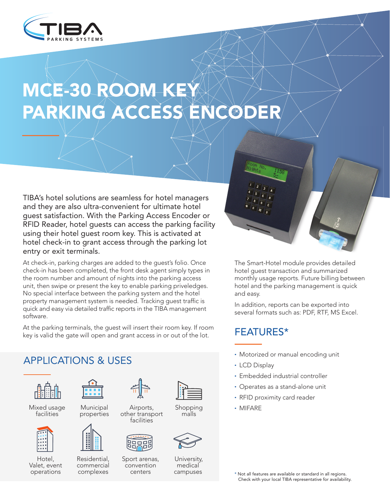

# MCE-30 ROOM KEY PARKING ACCESS ENCODER

TIBA's hotel solutions are seamless for hotel managers and they are also ultra-convenient for ultimate hotel guest satisfaction. With the Parking Access Encoder or RFID Reader, hotel quests can access the parking facility using their hotel guest room key. This is activated at hotel check-in to grant access through the parking lot entry or exit terminals.

At check-in, parking charges are added to the guest's folio. Once check-in has been completed, the front desk agent simply types inthe room number and amount of nights into the parking access unit, then swipe or present the key to enable parking priveledges. No special interface between the parking system and the hotel property management system is needed. Tracking guest traffic is quick and easy via detailed traffic reports in the TIBA management .software

At the parking terminals, the guest will insert their room key. If room key is valid the gate will open and grant access in or out of the lot.





Mixed usage **facilities** 



Hotel, Valet, event operations



 Municipal properties



Residential. commercial complexes



Airports, other transport facilities

福



 convention centers



 Shopping malls



University, medical campuses



The Smart-Hotel module provides detailed hotel quest transaction and summarized monthly usage reports. Future billing between hotel and the parking management is quick and easy.

In addition, reports can be exported into several formats such as: PDF, RTF, MS Excel.

# \*FEATURES

- Motorized or manual encoding unit
- LCD Display
- Embedded industrial controller
- Operates as a stand-alone unit
- RFID proximity card reader
- MIFARE∙

\* Not all features are available or standard in all regions. Check with your local TIBA representative for availability.